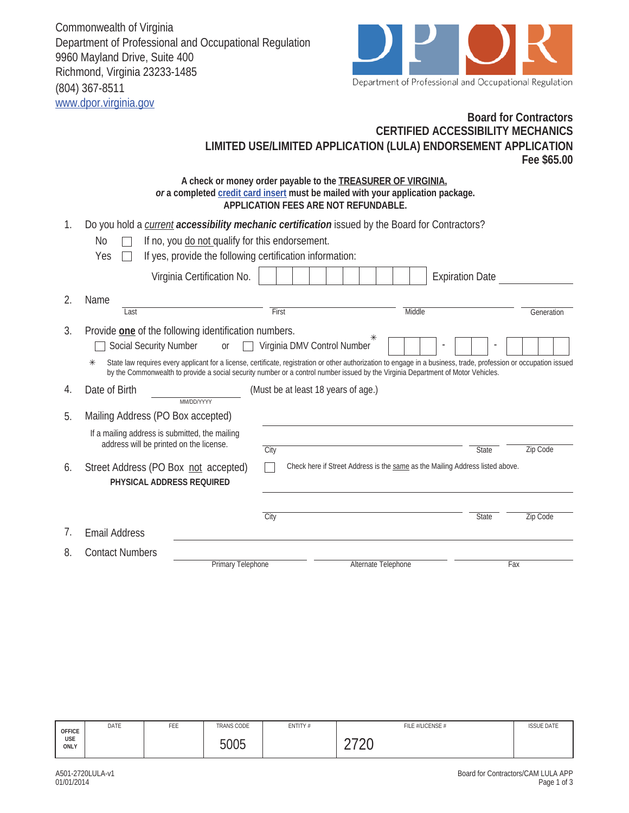Commonwealth of Virginia Department of Professional and Occupational Regulation 9960 Mayland Drive, Suite 400 Richmond, Virginia 23233-1485 (804) 367-8511 www.dpor.virginia.gov



## **Board for Contractors Fee \$65.00 CERTIFIED ACCESSIBILITY MECHANICS LIMITED USE/LIMITED APPLICATION (LULA) ENDORSEMENT APPLICATION**

| A check or money order payable to the <b>TREASURER OF VIRGINIA</b> ,            |
|---------------------------------------------------------------------------------|
| or a completed credit card insert must be mailed with your application package. |
| APPLICATION FEES ARE NOT REFUNDABLE.                                            |

| 1. | Do you hold a <i>current accessibility mechanic certification</i> issued by the Board for Contractors?<br>If no, you do not qualify for this endorsement.<br>No.<br>Yes<br>If yes, provide the following certification information:<br>Virginia Certification No. |                                                                                                                                                                 | <b>Expiration Date</b>                                                                                                                                             |
|----|-------------------------------------------------------------------------------------------------------------------------------------------------------------------------------------------------------------------------------------------------------------------|-----------------------------------------------------------------------------------------------------------------------------------------------------------------|--------------------------------------------------------------------------------------------------------------------------------------------------------------------|
|    |                                                                                                                                                                                                                                                                   |                                                                                                                                                                 |                                                                                                                                                                    |
| 2. | Name<br>Last                                                                                                                                                                                                                                                      | First                                                                                                                                                           | Middle<br>Generation                                                                                                                                               |
| 3. | Provide one of the following identification numbers.<br><b>Social Security Number</b><br>or<br>$\ast$                                                                                                                                                             | Virginia DMV Control Number<br>by the Commonwealth to provide a social security number or a control number issued by the Virginia Department of Motor Vehicles. | State law requires every applicant for a license, certificate, registration or other authorization to engage in a business, trade, profession or occupation issued |
| 4. | Date of Birth<br>MM/DD/YYYY                                                                                                                                                                                                                                       | (Must be at least 18 years of age.)                                                                                                                             |                                                                                                                                                                    |
| 5. | Mailing Address (PO Box accepted)                                                                                                                                                                                                                                 |                                                                                                                                                                 |                                                                                                                                                                    |
|    | If a mailing address is submitted, the mailing<br>address will be printed on the license.                                                                                                                                                                         | City                                                                                                                                                            | <b>State</b><br>Zip Code                                                                                                                                           |
| 6. | Street Address (PO Box not accepted)<br>PHYSICAL ADDRESS REQUIRED                                                                                                                                                                                                 | Check here if Street Address is the same as the Mailing Address listed above.                                                                                   |                                                                                                                                                                    |
| 7. |                                                                                                                                                                                                                                                                   | City                                                                                                                                                            | <b>State</b><br>Zip Code                                                                                                                                           |
|    | <b>Email Address</b>                                                                                                                                                                                                                                              |                                                                                                                                                                 |                                                                                                                                                                    |
| 8. | <b>Contact Numbers</b><br>Primary Telephone                                                                                                                                                                                                                       | Alternate Telephone                                                                                                                                             | Fax                                                                                                                                                                |

| OFFICE<br>USE<br>ONLY | DATE | FEE | <b>TRANS CODE</b> | ENTITY# | FILE #/LICENSE #         | <b>ISSUE DATE</b> |
|-----------------------|------|-----|-------------------|---------|--------------------------|-------------------|
|                       |      |     | 5005              |         | へっへへ<br>∠∪<br><u>_ ,</u> |                   |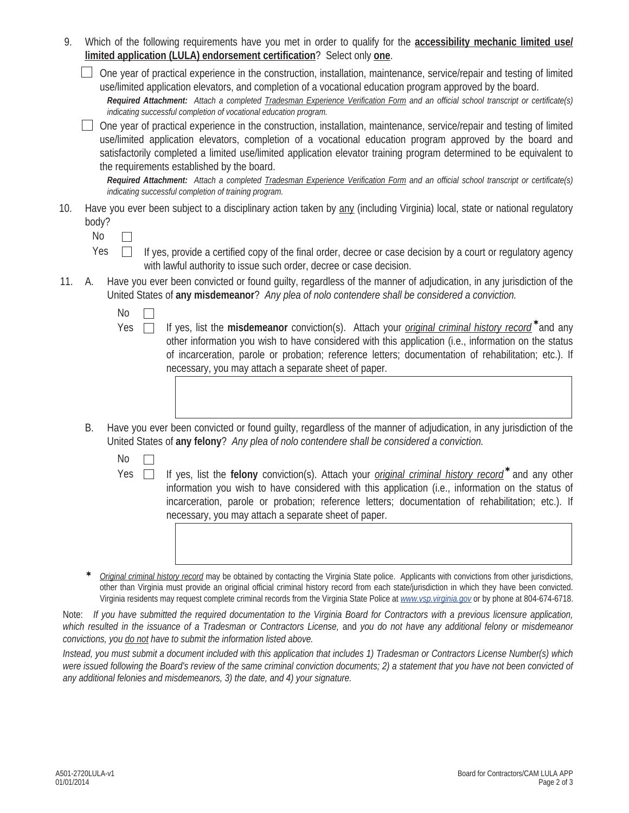| 9.    |                         | Which of the following requirements have you met in order to qualify for the <b>accessibility mechanic limited use/</b><br>limited application (LULA) endorsement certification? Select only one.                                                                                                                                                                                                                                                       |
|-------|-------------------------|---------------------------------------------------------------------------------------------------------------------------------------------------------------------------------------------------------------------------------------------------------------------------------------------------------------------------------------------------------------------------------------------------------------------------------------------------------|
|       |                         | One year of practical experience in the construction, installation, maintenance, service/repair and testing of limited<br>use/limited application elevators, and completion of a vocational education program approved by the board.<br>Required Attachment: Attach a completed Tradesman Experience Verification Form and an official school transcript or certificate(s)<br>indicating successful completion of vocational education program.         |
|       |                         | One year of practical experience in the construction, installation, maintenance, service/repair and testing of limited<br>use/limited application elevators, completion of a vocational education program approved by the board and<br>satisfactorily completed a limited use/limited application elevator training program determined to be equivalent to<br>the requirements established by the board.                                                |
|       |                         | Required Attachment: Attach a completed Tradesman Experience Verification Form and an official school transcript or certificate(s)<br>indicating successful completion of training program.                                                                                                                                                                                                                                                             |
| 10.   | body?<br>N <sub>0</sub> | Have you ever been subject to a disciplinary action taken by any (including Virginia) local, state or national regulatory                                                                                                                                                                                                                                                                                                                               |
|       | Yes                     | If yes, provide a certified copy of the final order, decree or case decision by a court or regulatory agency<br>with lawful authority to issue such order, decree or case decision.                                                                                                                                                                                                                                                                     |
| 11.   | А.                      | Have you ever been convicted or found guilty, regardless of the manner of adjudication, in any jurisdiction of the<br>United States of any misdemeanor? Any plea of nolo contendere shall be considered a conviction.                                                                                                                                                                                                                                   |
|       | No<br>Yes               | If yes, list the misdemeanor conviction(s). Attach your <i>original criminal history record</i> <sup>*</sup> and any<br>other information you wish to have considered with this application (i.e., information on the status<br>of incarceration, parole or probation; reference letters; documentation of rehabilitation; etc.). If<br>necessary, you may attach a separate sheet of paper.                                                            |
|       | В.                      | Have you ever been convicted or found guilty, regardless of the manner of adjudication, in any jurisdiction of the<br>United States of any felony? Any plea of nolo contendere shall be considered a conviction.                                                                                                                                                                                                                                        |
|       | N <sub>0</sub>          |                                                                                                                                                                                                                                                                                                                                                                                                                                                         |
|       | Yes                     | If yes, list the felony conviction(s). Attach your <i>original criminal history record</i> <sup>*</sup> and any other<br>information you wish to have considered with this application (i.e., information on the status of<br>incarceration, parole or probation; reference letters; documentation of rehabilitation; etc.). If<br>necessary, you may attach a separate sheet of paper.                                                                 |
|       |                         |                                                                                                                                                                                                                                                                                                                                                                                                                                                         |
|       | ∗                       | Original criminal history record may be obtained by contacting the Virginia State police. Applicants with convictions from other jurisdictions,<br>other than Virginia must provide an original official criminal history record from each state/jurisdiction in which they have been convicted.<br>Virginia residents may request complete criminal records from the Virginia State Police at <i>www.vsp.virginia.gov</i> or by phone at 804-674-6718. |
| Note: |                         | If you have submitted the required documentation to the Virginia Board for Contractors with a previous licensure application,<br>ubich reculted in the issuance of a Tradecman or Contractors License and you do not have any additional felony or misdemeaner                                                                                                                                                                                          |

*which resulted in the issuance of a Tradesman or Contractors License,* and *you do not have any additional felony or misdemeanor convictions, you do not have to submit the information listed above.* 

*Instead, you must submit a document included with this application that includes 1) Tradesman or Contractors License Number(s) which were issued following the Board's review of the same criminal conviction documents; 2) a statement that you have not been convicted of any additional felonies and misdemeanors, 3) the date, and 4) your signature.*